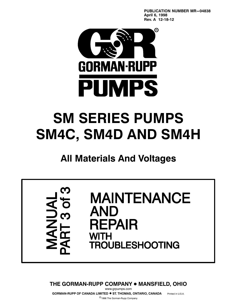**PUBLICATION NUMBER MR-04838 April 6, 1998 Rev. A 12‐18‐12**



# **SM SERIES PUMPS SM4C, SM4D AND SM4H**

## **All Materials And Voltages**



**THE GORMAN-RUPP COMPANY ● MANSFIELD, OHIO** www.grpumps.com

**GORMAN-RUPP OF CANADA LIMITED**  $\bullet$  **ST. THOMAS, ONTARIO, CANADA** Printed in U.S.A.

1998 The Gorman‐Rupp Company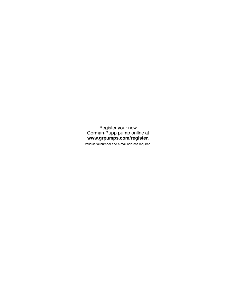Register your new Gorman‐Rupp pump online at **www.grpumps.com/register**.

Valid serial number and e‐mail address required.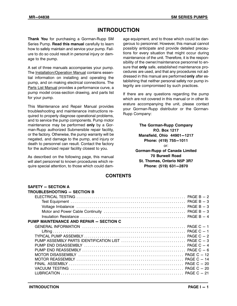## **INTRODUCTION**

**Thank You** for purchasing a Gorman‐Rupp SM Series Pump. **Read this manual** carefully to learn how to safely maintain and service your pump. Failure to do so could result in personal injury or damage to the pump.

A set of three manuals accompanies your pump. The Installation/Operation Manual contains essential information on installing and operating the pump, and on making electrical connections. The Parts List Manual provides a performance curve, a pump model cross‐section drawing, and parts list for your pump.

This Maintenance and Repair Manual provides troubleshooting and maintenance instructions required to properly diagnose operational problems, and to service the pump components. Pump motor maintenance may be performed **only** by a Gorman‐Rupp authorized Submersible repair facility, or the factory. Otherwise, the pump warranty will be negated, and damage to the pump, and injury or death to personnel can result. Contact the factory for the authorized repair facility closest to you.

As described on the following page, this manual will alert personnel to known procedures which require special attention, to those which could damage equipment, and to those which could be dangerous to personnel. However, this manual cannot possibly anticipate and provide detailed precautions for every situation that might occur during maintenance of the unit. Therefore, it is the responsibility of the owner/maintenance personnel to ensure that **only** safe, established maintenance procedures are used, and that any procedures not addressed in this manual are performed **only** after establishing that neither personal safety nor pump integrity are compromised by such practices.

If there are any questions regarding the pump which are not covered in this manual or in other literature accompanying the unit, please contact your Gorman‐Rupp distributor or the Gorman‐ Rupp Company:

> **The Gorman‐Rupp Company P.O. Box 1217 Mansfield, Ohio 44901-1217 Phone: (419) 755-1011** or: **Gorman‐Rupp of Canada Limited 70 Burwell Road St. Thomas, Ontario N5P 3R7 Phone: (519) 631-2870**

#### **CONTENTS**

| <b>SAFETY - SECTION A</b>               |  |
|-----------------------------------------|--|
| <b>TROUBLESHOOTING - SECTION B</b>      |  |
|                                         |  |
|                                         |  |
|                                         |  |
|                                         |  |
|                                         |  |
| PUMP MAINTENANCE AND REPAIR - SECTION C |  |
|                                         |  |
|                                         |  |
|                                         |  |
|                                         |  |
|                                         |  |
|                                         |  |
|                                         |  |
|                                         |  |
|                                         |  |
|                                         |  |
|                                         |  |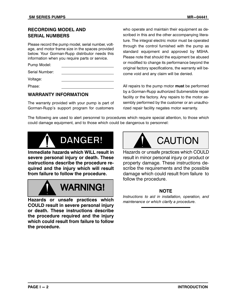#### **RECORDING MODEL AND SERIAL NUMBERS**

Please record the pump model, serial number, voltage, and motor frame size in the spaces provided below. Your Gorman‐Rupp distributor needs this information when you require parts or service.

Pump Model:

Serial Number:

Voltage:

Phase:

#### **WARRANTY INFORMATION**

The warranty provided with your pump is part of Gorman‐Rupp's support program for customers who operate and maintain their equipment as described in this and the other accompanying literature. The integral electric motor must be operated through the control furnished with the pump as standard equipment and approved by MSHA. Please note that should the equipment be abused or modified to change its performance beyond the original factory specifications, the warranty will become void and any claim will be denied.

All repairs to the pump motor **must** be performed by a Gorman‐Rupp authorized Submersible repair facility or the factory. Any repairs to the motor assembly performed by the customer or an unauthorized repair facility negates motor warranty.

The following are used to alert personnel to procedures which require special attention, to those which could damage equipment, and to those which could be dangerous to personnel:



**Immediate hazards which WILL result in severe personal injury or death. These instructions describe the procedure required and the injury which will result from failure to follow the procedure.**



**Hazards or unsafe practices which COULD result in severe personal injury or death. These instructions describe the procedure required and the injury which could result from failure to follow the procedure.**



Hazards or unsafe practices which COULD result in minor personal injury or product or property damage. These instructions describe the requirements and the possible damage which could result from failure to follow the procedure.

#### **NOTE**

*Instructions to aid in installation, operation, and maintenance or which clarify a procedure*.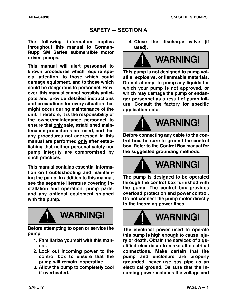#### **SAFETY - SECTION A**

**The following information applies throughout this manual to Gorman‐ Rupp SM Series submersible motor driven pumps.**

**This manual will alert personnel to known procedures which require special attention, to those which could damage equipment, and to those which could be dangerous to personnel. However, this manual cannot possibly anticipate and provide detailed instructions and precautions for every situation that might occur during maintenance of the unit. Therefore, it is the responsibility of the owner/maintenance personnel to ensure that only safe, established maintenance procedures are used, and that any procedures not addressed in this manual are performed only after establishing that neither personal safety nor pump integrity are compromised by such practices.**

**This manual contains essential information on troubleshooting and maintaining the pump. In addition to this manual, see the separate literature covering installation and operation, pump parts, and any optional equipment shipped with the pump.**



**Before attempting to open or service the pump:**

- **1. Familiarize yourself with this manual.**
- **2. Lock out incoming power to the control box to ensure that the pump will remain inoperative.**
- **3. Allow the pump to completely cool if overheated.**

**4. Close the discharge valve (if used).**



**This pump is not designed to pump volatile, explosive, or flammable materials. Do not attempt to pump any liquids for which your pump is not approved, or which may damage the pump or endanger personnel as a result of pump failure. Consult the factory for specific application data.**



**Before connecting any cable to the control box, be sure to ground the control box. Refer to the Control Box manual for the suggested grounding methods.**



**The pump is designed to be operated through the control box furnished with the pump. The control box provides overload protection and power control. Do not connect the pump motor directly to the incoming power lines.**



**The electrical power used to operate this pump is high enough to cause injury or death. Obtain the services of a qualified electrician to make all electrical connections. Make certain that the pump and enclosure are properly grounded; never use gas pipe as an electrical ground. Be sure that the incoming power matches the voltage and**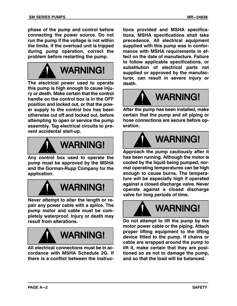**phase of the pump and control before connecting the power source. Do not run the pump if the voltage is not within the limits. If the overload unit is tripped during pump operation, correct the problem before restarting the pump.**



**The electrical power used to operate this pump is high enough to cause injury or death. Make certain that the control handle on the control box is in the OFF position and locked out, or that the power supply to the control box has been otherwise cut off and locked out, before attempting to open or service the pump assembly. Tag electrical circuits to prevent accidental start‐up.**



**Any control box used to operate the pump must be approved by the MSHA and the Gorman‐Rupp Company for the application.**



**Never attempt to alter the length or repair any power cable with a splice. The pump motor and cable must be completely waterproof. Injury or death may result from alterations.**



**All electrical connections must be in accordance with MSHA Schedule 2G. If there is a conflict between the instruc-** **tions provided and MSHA specifications, MSHA specifications shall take precedence. All electrical equipment supplied with this pump was in conformance with MSHA requirements in effect on the date of manufacture. Failure to follow applicable specifications, or substitution of electrical parts not supplied or approved by the manufacturer, can result in severe injury or death.**



**After the pump has been installed, make certain that the pump and all piping or hose connections are secure before operation.**



**Approach the pump cautiously after it has been running. Although the motor is cooled by the liquid being pumped, normal operating temperatures can be high enough to cause burns. The temperature will be especially high if operated against a closed discharge valve. Never operate against a closed discharge valve for long periods of time.**



**Do not attempt to lift the pump by the motor power cable or the piping. Attach proper lifting equipment to the lifting device fitted to the pump. If chains or cable are wrapped around the pump to lift it, make certain that they are positioned so as not to damage the pump, and so that the load will be balanced.**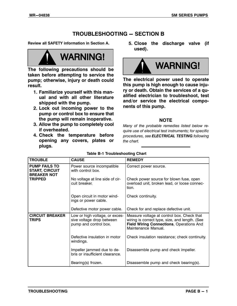## **TROUBLESHOOTING - SECTION B**

**Review all SAFETY information in Section A.**



**The following precautions should be taken before attempting to service the pump; otherwise, injury or death could result.**

- **1. Familiarize yourself with this manual and with all other literature shipped with the pump.**
- **2. Lock out incoming power to the pump or control box to ensure that the pump will remain inoperative.**
- **3. Allow the pump to completely cool if overheated.**
- **4. Check the temperature before opening any covers, plates or plugs.**

**5. Close the discharge valve (if used).**



**The electrical power used to operate this pump is high enough to cause injury or death. Obtain the services of a qualified electrician to troubleshoot, test and/or service the electrical components of this pump.**

#### **NOTE**

*Many of the probable remedies listed below require use of electrical test instruments; for specific procedures, see ELECTRICAL TESTING following the chart.*

| <b>TROUBLE</b>                                                      | <b>CAUSE</b>                                                                         | <b>REMEDY</b>                                                                                                                                                   |
|---------------------------------------------------------------------|--------------------------------------------------------------------------------------|-----------------------------------------------------------------------------------------------------------------------------------------------------------------|
| <b>PUMP FAILS TO</b><br><b>START, CIRCUIT</b><br><b>BREAKER NOT</b> | Power source incompatible<br>with control box.                                       | Correct power source.                                                                                                                                           |
| <b>TRIPPED</b>                                                      | No voltage at line side of cir-<br>cuit breaker.                                     | Check power source for blown fuse, open<br>overload unit, broken lead, or loose connec-<br>tion.                                                                |
|                                                                     | Open circuit in motor wind-<br>ings or power cable.                                  | Check continuity.                                                                                                                                               |
|                                                                     | Defective motor power cable.                                                         | Check for and replace defective unit.                                                                                                                           |
| <b>CIRCUIT BREAKER</b><br><b>TRIPS</b>                              | Low or high voltage, or exces-<br>sive voltage drop between<br>pump and control box. | Measure voltage at control box. Check that<br>wiring is correct type, size, and length. (See<br>Field Wiring Connections, Operations And<br>Maintenance Manual. |
|                                                                     | Defective insulation in motor<br>windings.                                           | Check insulation resistance; check continuity.                                                                                                                  |
|                                                                     | Impeller jammed due to de-<br>bris or insufficient clearance.                        | Disassemble pump and check impeller.                                                                                                                            |
|                                                                     | Bearing(s) frozen.                                                                   | Disassemble pump and check bearing(s).                                                                                                                          |

#### **Table B‐1 Troubleshooting Chart**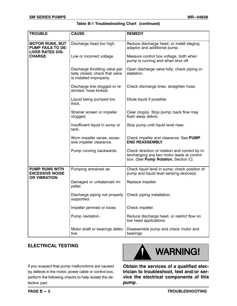|  | Table B-1 Troubleshooting Chart (continued) |  |  |
|--|---------------------------------------------|--|--|
|--|---------------------------------------------|--|--|

| <b>TROUBLE</b>                                                                | <b>CAUSE</b>                                                                                   | <b>REMEDY</b>                                                                                                                        |
|-------------------------------------------------------------------------------|------------------------------------------------------------------------------------------------|--------------------------------------------------------------------------------------------------------------------------------------|
|                                                                               |                                                                                                |                                                                                                                                      |
| <b>MOTOR RUNS, BUT</b><br><b>PUMP FAILS TO DE-</b><br><b>LIVER RATED DIS-</b> | Discharge head too high.                                                                       | Reduce discharge head, or install staging<br>adaptor and additional pump.                                                            |
| <b>CHARGE</b>                                                                 | Low or incorrect voltage.                                                                      | Measure control box voltage, both when<br>pump is running and when shut off.                                                         |
|                                                                               | Discharge throttling valve par-<br>tially closed; check that valve<br>is installed improperly. | Open discharge valve fully; check piping in-<br>stallation.                                                                          |
|                                                                               | Discharge line clogged or re-<br>stricted; hose kinked.                                        | Check discharge lines; straighten hose.                                                                                              |
|                                                                               | Liquid being pumped too<br>thick.                                                              | Dilute liquid if possible.                                                                                                           |
|                                                                               | Strainer screen or impeller<br>clogged.                                                        | Clear $clog(s)$ . Stop pump; back flow may<br>flush away debris.                                                                     |
|                                                                               | Insufficient liquid in sump or<br>tank.                                                        | Stop pump until liquid level rises.                                                                                                  |
|                                                                               | Worn impeller vanes; exces-<br>sive impeller clearance.                                        | Check impeller and clearance. See PUMP<br><b>END REASSEMBLY.</b>                                                                     |
|                                                                               | Pump running backwards.                                                                        | Check direction of rotation and correct by in-<br>terchanging any two motor leads at control<br>box. (See Pump Rotation, Section C). |
| <b>PUMP RUNS WITH</b><br><b>EXCESSIVE NOISE</b><br><b>OR VIBRATION</b>        | Pumping entrained air.                                                                         | Check liquid level in sump; check position of<br>pump and liquid level sensing device(s).                                            |
|                                                                               | Damaged or unbalanced im-<br>peller.                                                           | Replace impeller.                                                                                                                    |
|                                                                               | Discharge piping not properly<br>supported.                                                    | Check piping installation.                                                                                                           |
|                                                                               | Impeller jammed or loose.                                                                      | Check impeller.                                                                                                                      |
|                                                                               | Pump cavitation.                                                                               | Reduce discharge head, or restrict flow on<br>low head applications.                                                                 |
|                                                                               | Motor shaft or bearings defec-<br>tive.                                                        | Disassemble pump and check motor and<br>bearings.                                                                                    |

#### **ELECTRICAL TESTING**



If you suspect that pump malfunctions are caused by defects in the motor, power cable or control box, perform the following checks to help isolate the defective part.

**Obtain the services of a qualified electrician to troubleshoot, test and/or service the electrical components of this pump.**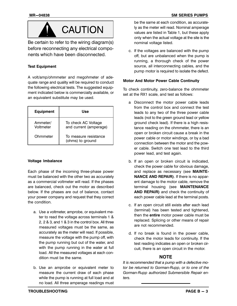

Be certain to refer to the wiring diagram(s) before reconnecting any electrical components which have been disconnected.

#### **Test Equipment**

A volt/amp/ohmmeter and megohmeter of adequate range and quality will be required to conduct the following electrical tests. The suggested equipment indicated below is commercially available, or an equivalent substitute may be used.

| <b>Equipment</b>      | Use                                           |
|-----------------------|-----------------------------------------------|
| Ammeter/<br>Voltmeter | To check AC Voltage<br>and current (amperage) |
| Ohmmeter              | To measure resistance<br>(ohms) to ground     |

#### **Voltage Imbalance**

Each phase of the incoming three‐phase power must be balanced with the other two as accurately as a commercial voltmeter will read. If the phases are balanced, check out the motor as described below. If the phases are out of balance, contact your power company and request that they correct the condition.

- a. Use a voltmeter, amprobe, or equivalent meter to read the voltage across terminals 1 & 2, 2 & 3, and 1 & 3 in the control box. All three measured voltages must be the same, as accurately as the meter will read. If possible, measure the voltage with the pump off, with the pump running but out of the water, and with the pump running in the water at full load. All the measured voltages at each condition must be the same.
- b. Use an amprobe or equivalent meter to measure the current draw of each phase while the pump is running at full load and at no load. All three amperage readings must

be the same at each condition, as accurately as the meter will read. Nominal amperage values are listed in Table 1, but these apply only when the actual voltage at the site is the nominal voltage listed.

c. If the voltages are balanced with the pump off, but are unbalanced when the pump is running, a thorough check of the power source, all interconnecting cables, and the pump motor is required to isolate the defect.

#### **Motor And Motor Power Cable Continuity**

To check continuity, zero‐balance the ohmmeter set at the RX1 scale, and test as follows:

- a Disconnect the motor power cable leads from the control box and connect the test leads to any two of the three power cable leads (not to the green ground lead or yellow ground check lead). If there is a high resistance reading on the ohmmeter, there is an open or broken circuit cause a break in the power cable or motor windings, or by a bad connection between the motor and the power cable. Switch one test lead to the third power lead, and test again.
- b. If an open or broken circuit is indicated, check the power cable for obvious damage, and replace as necessary (see **MAINTE-NANCE AND REPAIR)**. If there is no apparent damage to the motor cable, remove the terminal housing (see **MAINTENANCE AND REPAIR)** and check the continuity of each power cable lead at the terminal posts.
- c. If an open circuit still exists after each lead (terminal) has been tested and tightened, then the **entire** motor power cable must be replaced. Splicing or other means of repair are not recommended.
- d. If no break is found in the power cable, check the motor leads for continuity. If the test reading indicates an open or broken circuit, there is an open circuit in the motor.

#### **NOTE**

*It is recommended that a pump with a defective motor be returned to Gorman‐Rupp, or to one of the Gorman‐Rupp authorized Submersible Repair enters.*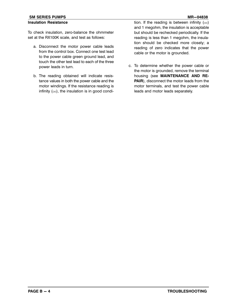#### **SM SERIES PUMPS And SERIES AND STATE SERIES PUMPS MR-04838**

#### **Insulation Resistance**

To check insulation, zero‐balance the ohmmeter set at the RX100K scale, and test as follows:

- a. Disconnect the motor power cable leads from the control box. Connect one test lead to the power cable green ground lead, and touch the other test lead to each of the three power leads in turn.
- b. The reading obtained will indicate resistance values in both the power cable and the motor windings. If the resistance reading is infinity  $(\infty)$ , the insulation is in good condi-

tion. If the reading is between infinity  $(\infty)$ and 1 megohm, the insulation is acceptable but should be rechecked periodically. If the reading is less than 1 megohm, the insulation should be checked more closely; a reading of zero indicates that the power cable or the motor is grounded.

c. To determine whether the power cable or the motor is grounded, remove the terminal housing (see **MAINTENANCE AND RE-PAIR**), disconnect the motor leads from the motor terminals, and test the power cable leads and motor leads separately.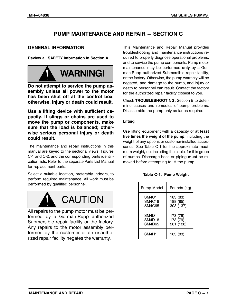## **PUMP MAINTENANCE AND REPAIR - SECTION C**

#### **GENERAL INFORMATION**

**Review all SAFETY information in Section A.**



**Do not attempt to service the pump assembly unless all power to the motor has been shut off at the control box; otherwise, injury or death could result.**

**Use a lifting device with sufficient capacity. If slings or chains are used to move the pump or components, make sure that the load is balanced; otherwise serious personal injury or death could result.**

The maintenance and repair instructions in this manual are keyed to the sectional views, Figures C‐1 and C‐2, and the corresponding parts identification lists. Refer to the separate Parts List Manual for replacement parts.

Select a suitable location, preferably indoors, to perform required maintenance. All work must be performed by qualified personnel.



All repairs to the pump motor must be performed by a Gorman‐Rupp authorized Submersible repair facility or the factory. Any repairs to the motor assembly performed by the customer or an unauthorized repair facility negates the warranty.

This Maintenance and Repair Manual provides troubleshooting and maintenance instructions required to properly diagnose operational problems, and to service the pump components. Pump motor maintenance may be performed **only** by a Gorman‐Rupp authorized Submersible repair facility, or the factory. Otherwise, the pump warranty will be negated, and damage to the pump, and injury or death to personnel can result. Contact the factory for the authorized repair facility closest to you.

Check **TROUBLESHOOTING**, Section B to determine causes and remedies of pump problems. Disassemble the pump only as far as required.

#### **Lifting**

Use lifting equipment with a capacity of **at least five times the weight of the pump**, including the weight of any options or customer‐installed accessories. See Table C-1 for the approximate maximum weight**,** not including the cable, for this group of pumps. Discharge hose or piping **must** be removed before attempting to lift the pump.

|  | Table C-1. Pump Weight |
|--|------------------------|
|  |                        |

| Pump Model | Pounds (kg) |
|------------|-------------|
| SM4C1      | 183 (83)    |
| SM4C18     | 188 (85)    |
| SM4C65     | 303 (137)   |
| SM4D1      | 173 (79)    |
| SM4D18     | 173 (79)    |
| SM4D65     | 281 (128)   |
| SM4H1      | 183 (83)    |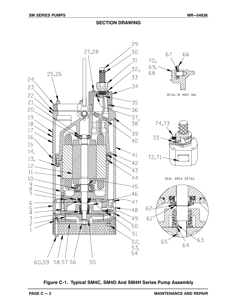

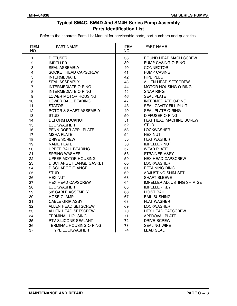#### **Typical SM4C, SM4D And SM4H Series Pump Assembly Parts Identification List**

Refer to the separate Parts List Manual for serviceable parts, part numbers and quantities.

| <b>ITEM</b><br>NO.      | PART NAME                      | <b>ITEM</b><br>NO. | PART NAME                          |
|-------------------------|--------------------------------|--------------------|------------------------------------|
| $\mathbf{1}$            | <b>DIFFUSER</b>                | 38                 | ROUND HEAD MACH SCREW              |
| $\overline{c}$          | <b>IMPELLER</b>                | 39                 | <b>PUMP CASING O-RING</b>          |
| 3                       | <b>SEAL ASSEMBLY</b>           | 40                 | <b>CONNECTOR</b>                   |
| $\overline{\mathbf{4}}$ | SOCKET HEAD CAPSCREW           | 41                 | <b>PUMP CASING</b>                 |
| 5                       | <b>INTERMEDIATE</b>            | 42                 | PIPE PLUG                          |
| $\,6\,$                 | <b>SEAL ASSEMBLY</b>           | 43                 | ALLEN HEAD SETSCREW                |
| $\overline{7}$          | <b>INTERMEDIATE O-RING</b>     | 44                 | <b>MOTOR HOUSING O-RING</b>        |
| 8                       | <b>INTERMEDIATE O-RING</b>     | 45                 | <b>SNAP RING</b>                   |
| 9                       | LOWER MOTOR HOUSING            | 46                 | <b>SEAL PLATE</b>                  |
| 10                      | LOWER BALL BEARING             | 47                 | <b>INTERMEDIATE O-RING</b>         |
| 11                      | <b>STATOR</b>                  | 48                 | SEAL CAVITY FILL PLUG              |
| 12 <sub>2</sub>         | ROTOR & SHAFT ASSEMBLY         | 49                 | <b>SEAL PLATE O-RING</b>           |
| 13                      | <b>STUD</b>                    | 50                 | <b>DIFFUSER O-RING</b>             |
| 14                      | <b>DEFORM LOCKNUT</b>          | 51                 | FLAT HEAD MACHINE SCREW            |
| 15                      | <b>LOCKWASHER</b>              | 52                 | <b>STUD</b>                        |
| 16                      | PENN DOER APPL PLATE           | 53                 | <b>LOCKWASHER</b>                  |
| 17                      | <b>MSHA PLATE</b>              | 54                 | <b>HEX NUT</b>                     |
| 18                      | <b>DRIVE SCREW</b>             | 55                 | <b>FLAT WASHER</b>                 |
| 19                      | <b>NAME PLATE</b>              | 56                 | <b>IMPELLER NUT</b>                |
| 20                      | <b>UPPER BALL BEARING</b>      | 57                 | <b>WEAR PLATE</b>                  |
| 21                      | <b>SPRING WASHER</b>           | 58                 | <b>STRAINER ASSY</b>               |
| 22                      | UPPER MOTOR HOUSING            | 59                 | <b>HEX HEAD CAPSCREW</b>           |
| 23                      | <b>DISCHARGE FLANGE GASKET</b> | 60                 | <b>LOCKWASHER</b>                  |
| 24                      | <b>DISCHARGE FLANGE</b>        | 61                 | <b>RETAINING RING</b>              |
| 25                      | <b>STUD</b>                    | 62                 | ADJUSTING SHIM SET                 |
| 26                      | <b>HEX NUT</b>                 | 63                 | <b>SHAFT SLEEVE</b>                |
| 27                      | <b>HEX HEAD CAPSCREW</b>       | 64                 | <b>IMPELLER ADJUSTING SHIM SET</b> |
| 28                      | <b>LOCKWASHER</b>              | 65                 | <b>IMPELLER KEY</b>                |
| 29                      | 50' CABLE ASSEMBLY             | 66                 | <b>HOIST BAIL</b>                  |
| 30                      | <b>HOSE CLAMP</b>              | 67                 | <b>BAIL BUSHING</b>                |
| 31                      | <b>CABLE GRIP ASSY</b>         | 68                 | <b>FLAT WASHER</b>                 |
| 32                      | ALLEN HEAD SETSCREW            | 69                 | <b>LOCKWASHER</b>                  |
| 33                      | ALLEN HEAD SETSCREW            | 70                 | <b>HEX HEAD CAPSCREW</b>           |
| 34                      | <b>TERMINAL HOUSING</b>        | 71                 | <b>APPROVAL PLATE</b>              |
| 35                      | <b>RTV SILICONE SEALANT</b>    | 72                 | <b>DRIVE SCREW</b>                 |
| 36                      | <b>TERMINAL HOUSING O-RING</b> | 73                 | <b>SEALING WIRE</b>                |
| 37                      | <b>T TYPE LOCKWASHER</b>       | 74                 | <b>LEAD SEAL</b>                   |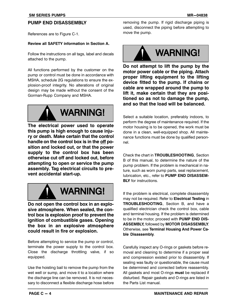#### **PUMP END DISASSEMBLY**

References are to Figure C‐1.

#### **Review all SAFETY information in Section A.**

Follow the instructions on all tags, label and decals attached to the pump.

All functions performed by the customer on the pump or control must be done in accordance with MSHA, schedule 2G regulations to ensure the explosion‐proof integrity. No alterations of original design may be made without the consent of the Gorman‐Rupp Company and MSHA.



**The electrical power used to operate this pump is high enough to cause injury or death. Make certain that the control handle on the control box is in the off position and locked out, or that the power supply to the control box has been otherwise cut off and locked out, before attempting to open or service the pump assembly. Tag electrical circuits to prevent accidental start‐up.**



**Do not open the control box in an explosive atmosphere. When sealed, the control box is explosion proof to prevent the ignition of combustible gases. Opening the box in an explosive atmosphere could result in fire or explosion.**

Before attempting to service the pump or control, terminate the power supply to the control box. Close the discharge throttling valve, if so equipped.

Use the hoisting bail to remove the pump from the wet well or sump, and move it to a location where the discharge line can be removed. It is not necessary to disconnect a flexible discharge hose before removing the pump. If rigid discharge piping is used, disconnect the piping before attempting to move the pump.



**Do not attempt to lift the pump by the motor power cable or the piping. Attach proper lifting equipment to the lifting device fitted to the pump. If chains or cable are wrapped around the pump to lift it, make certain that they are positioned so as not to damage the pump, and so that the load will be balanced.**

Select a suitable location, preferably indoors, to perform the degree of maintenance required. If the motor housing is to be opened, the work must be done in a clean, well‐equipped shop. All maintenance functions must be done by qualified personnel.

Check the chart in **TROUBLESHOOTING**, Section B of this manual, to determine the nature of the pump problem. If the problem is mechanical in nature, such as worn pump parts, seal replacement, lubrication, etc., refer to **PUMP END DISASSEM-BLY** for instructions.

If the problem is electrical, complete disassembly may not be required. Refer to **Electrical Testing** in **TROUBLESHOOTING**, Section B, and have a qualified electrician check the control box, cable and terminal housing. If the problem is determined to be in the motor, proceed with **PUMP END DIS-ASSEMBLY,** followed by **MOTOR DISASSEMBLY**. Otherwise, see **Terminal Housing And Power Cable Disassembly**.

Carefully inspect any O‐rings or gaskets before removal and cleaning to determine if a proper seal and compression existed prior to disassembly. If sealing was faulty or questionable, the cause must be determined and corrected before reassembly. All gaskets and most O‐rings **must** be replaced if disturbed. Repair gaskets and O‐rings are listed in the Parts List manual.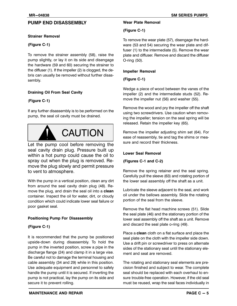#### **PUMP END DISASSEMBLY**

#### **Strainer Removal**

#### **(Figure C‐1)**

To remove the strainer assembly (58), raise the pump slightly, or lay it on its side and disengage the hardware (59 and 60) securing the strainer to the diffuser (1). If the impeller (2) is clogged, the debris can usually be removed without further disassembly.

#### **Draining Oil From Seal Cavity**

#### (**Figure C‐1)**

If any further disassembly is to be performed on the pump, the seal oil cavity must be drained.



Let the pump cool before removing the seal cavity drain plug. Pressure built up within a hot pump could cause the oil to spray out when the plug is removed. Remove the plug slowly and permit pressure to vent to atmosphere.

With the pump in a vertical position, clean any dirt from around the seal cavity drain plug (48). Remove the plug, and drain the seal oil into a **clean** container. Inspect the oil for water, dirt, or cloudy condition which could indicate lower seal failure or poor gasket seal.

#### **Positioning Pump For Disassembly**

#### **(Figure C‐1)**

It is recommended that the pump be positioned upside‐down during disassembly. To hold the pump in the inverted position, screw a pipe in the discharge flange (24) and clamp it in a large vise. Be careful not to damage the terminal housing and cable assembly (34 and 29) while in this position. Use adequate equipment and personnel to safely handle the pump until it is secured. If inverting the pump is not practical, lay the pump on its side and secure it to prevent rolling.

#### **Wear Plate Removal**

#### **(Figure C‐1)**

To remove the wear plate (57), disengage the hardware (53 and 54) securing the wear plate and diffuser (1) to the intermediate (5). Remove the wear plate and diffuser. Remove and discard the diffuser O‐ring (50).

#### **Impeller Removal**

#### **(Figure C‐1)**

Wedge a piece of wood between the vanes of the impeller (2) and the intermediate studs (52). Remove the impeller nut (56) and washer (55).

Remove the wood and pry the impeller off the shaft using two screwdrivers. Use caution when removing the impeller; tension on the seal spring will be released. Retain the impeller key (65).

Remove the impeller adjusting shim set (64). For ease of reassembly, tie and tag the shims or measure and record their thickness.

#### **Lower Seal Removal**

#### **(Figures C‐1 and C‐2)**

Remove the spring retainer and the seal spring. Carefully pull the sleeve (63) and rotating portion of the lower seal assembly off the shaft as a unit.

Lubricate the sleeve adjacent to the seal, and work oil under the bellows assembly. Slide the rotating portion of the seal from the sleeve.

Remove the flat head machine screws (51). Slide the seal plate (46) and the stationary portion of the lower seal assembly off the shaft as a unit. Remove and discard the seal plate o‐ring (49).

Place a **clean** cloth on a flat surface and place the seal plate on the cloth with the impeller side down. Use a drift pin or screwdriver to press on alternate sides of the stationary seat until the stationary element and seat are removed.

The rotating and stationary seal elements are precision finished and subject to wear. The complete seal should be replaced with each overhaul to ensure trouble‐free operation. However, if the old seal must be reused, wrap the seal faces individually in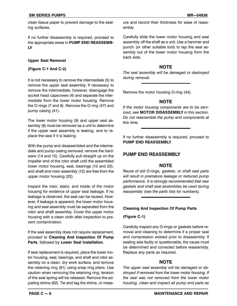clean tissue paper to prevent damage to the sealing surfaces.

If no further disassembly is required, proceed to the appropriate areas in **PUMP END REASSEMB-LY**.

#### **Upper Seal Removal**

#### **(Figure C‐1 And C‐2)**

It is not necessary to remove the intermediate (5) to remove the upper seal assembly. If necessary to remove the intermediate, however, disengage the socket head capscrews (4) and separate the intermediate from the lower motor housing. Remove the O-rings (7 and 8). Remove the O-ring (47) and pump casing (41).

The lower motor housing (9) and upper seal assembly (6) must be removed as a unit to determine if the upper seal assembly is leaking, and to replace the seal if it is leaking.

With the pump end disassembled and the intermediate and pump casing removed, remove the hardware (14 and 15). Carefully pull straight up on the impeller end of the rotor shaft until the assembled lower motor housing, seal, bearings (10 and 20), and shaft and rotor assembly (12) are free from the upper motor housing (22).

Inspect the rotor, stator, and inside of the motor housing for evidence of upper seal leakage. If no leakage is observed, the seal can be reused. However, if leakage is apparent, the lower motor housing and seal assembly must be separated from the rotor and shaft assembly. Cover the upper motor housing with a clean cloth after inspection to prevent contamination.

If the seal assembly does not require replacement, proceed to **Cleaning And Inspection Of Pump Parts**, followed by **Lower Seal Installation**.

If seal replacement is required, place the lower motor housing, seal, bearings, and shaft and rotor assembly on a clean, dry work surface, and remove the retaining ring (61) using snap ring pliers. Use caution when removing the retaining ring; tension of the seal spring will be released. Remove the adjusting shims (62). Tie and tag the shims, or meas-

ure and record their thickness for ease of reassembly.

Carefully slide the lower motor housing and seal assembly off the shaft as a unit. Use a hammer and punch (or other suitable tool) to tap the seal assembly out of the lower motor housing from the back side.

#### **NOTE**

*The seal assembly will be damaged or destroyed during removal.*

Remove the motor housing O‐ring (44).

#### **NOTE**

*If the motor housing components are to be serviced, see* **MOTOR DISASSEMBLY** *in this section. Do not reassemble the pump end components at this time.*

If no further disassembly is required, proceed to **PUMP END REASSEMBLY**.

#### **PUMP END REASSEMBLY**

#### **NOTE**

*Reuse of old O‐rings, gaskets, or shaft seal parts will result in premature leakage or reduced pump performance. It is strongly recommended that new gaskets and shaft seal assemblies be used during reassembly (see the parts lists for numbers).*

#### **Cleaning And Inspection Of Pump Parts**

#### **(Figure C‐1)**

Carefully inspect any O‐rings or gaskets before removal and cleaning to determine if a proper seal and compression existed prior to disassembly. If sealing was faulty or questionable, the cause must be determined and corrected before reassembly. Replace any parts as required.

#### **NOTE**

*The upper seal assembly will be damaged or destroyed if removed from the lower motor housing. If the seal was not removed from the lower motor housing, clean and inspect all pump end parts as*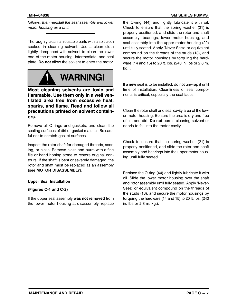*follows, then reinstall the seal assembly and lower motor housing as a unit.*

Thoroughly clean all reusable parts with a soft cloth soaked in cleaning solvent. Use a clean cloth lightly dampened with solvent to clean the lower end of the motor housing, intermediate, and seal plate. **Do not** allow the solvent to enter the motor.



**Most cleaning solvents are toxic and flammable. Use them only in a well ventilated area free from excessive heat, sparks, and flame. Read and follow all precautions printed on solvent containers.**

Remove all O‐rings and gaskets, and clean the sealing surfaces of dirt or gasket material. Be careful not to scratch gasket surfaces.

Inspect the rotor shaft for damaged threads, scoring, or nicks. Remove nicks and burrs with a fine file or hand honing stone to restore original contours. If the shaft is bent or severely damaged, the rotor and shaft must be replaced as an assembly (see **MOTOR DISASSEMBLY**).

#### **Upper Seal Installation**

#### **(Figures C‐1 and C‐2)**

If the upper seal assembly **was not removed** from the lower motor housing at disassembly, replace the O‐ring (44) and lightly lubricate it with oil. Check to ensure that the spring washer (21) is properly positioned, and slide the rotor and shaft assembly, bearings, lower motor housing, and seal assembly into the upper motor housing (22) until fully seated. Apply 'Never-Seez' or equivalent compound on the threads of the studs (13), and secure the motor housings by torquing the hardware (14 and 15) to 20 ft. lbs. (240 in. lbs or 2,8 m. kg.).

If a **new** seal is to be installed, do not unwrap it until time of installation. Cleanliness of seal components is critical, especially the seal faces.

Clean the rotor shaft and seal cavity area of the lower motor housing. Be sure the area is dry and free of lint and dirt. **Do not** permit cleaning solvent or debris to fall into the motor cavity.

Check to ensure that the spring washer (21) is properly positioned, and slide the rotor and shaft assembly and bearings into the upper motor housing until fully seated.

Replace the O‐ring (44) and lightly lubricate it with oil. Slide the lower motor housing over the shaft and rotor assembly until fully seated. Apply 'Never-Seez' or equivalent compound on the threads of the studs (13), and secure the motor housings by torquing the hardware (14 and 15) to 20 ft. lbs. (240 in. lbs or 2,8 m. kg.).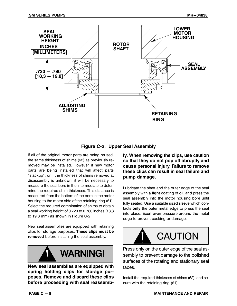

**Figure C‐2. Upper Seal Assembly**

If all of the original motor parts are being reused, the same thickness of shims (62) as previously removed may be installed. However, if new motor parts are being installed that will affect parts "stackup", or if the thickness of shims removed at disassembly is unknown, it will be necessary to measure the seal bore in the intermediate to determine the required shim thickness. This distance is measured from the bottom of the bore in the motor housing to the motor side of the retaining ring (61). Select the required combination of shims to obtain a seal working height of 0.720 to 0.780 inches (18,3 to 19,8 mm) as shown in Figure C‐2.

New seal assemblies are equipped with retaining clips for storage purposes. **These clips must be removed** before installing the seal assembly.



**New seal assemblies are equipped with spring holding clips for storage purposes. Remove and discard these clips before proceeding with seal reassemb-** **ly. When removing the clips, use caution so that they do not pop off abruptly and cause personal injury. Failure to remove these clips can result in seal failure and pump damage.**

Lubricate the shaft and the outer edge of the seal assembly with a **light** coating of oil, and press the seal assembly into the motor housing bore until fully seated. Use a suitable sized sleeve which contacts **only** the outer metal edge to press the seal into place. Exert even pressure around the metal edge to prevent cocking or damage.



Press only on the outer edge of the seal assembly to prevent damage to the polished surfaces of the rotating and stationary seal faces.

Install the required thickness of shims (62), and secure with the retaining ring (61).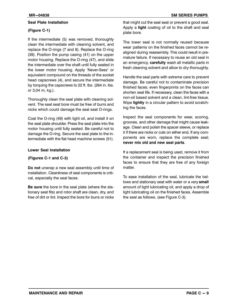#### **Seal Plate Installation**

#### **(Figure C‐1)**

If the intermediate (5) was removed, thoroughly clean the intermediate with cleaning solvent, and replace the O-rings (7 and 8). Replace the O-ring (39). Position the pump casing (41) on the upper motor housing. Replace the O‐ring (47), and slide the intermediate over the shaft until fully seated in the lower motor housing. Apply 'Never-Seez' or equivalent compound on the threads of the socket head capscrews (4), and secure the intermediate by torquing the capscrews to 22 ft. lbs. (264 in. lbs. or 3,04 m, kg.).

Thoroughly clean the seal plate with cleaning solvent. The seal seat bore must be free of burrs and nicks which could damage the seal seat O‐rings.

Coat the O‐ring (49) with light oil, and install it on the seal plate shoulder. Press the seal plate into the motor housing until fully seated. Be careful not to damage the O‐ring. Secure the seal plate to the intermediate with the flat head machine screws (51).

#### **Lower Seal Installation**

#### **(Figures C‐1 and C‐3)**

**Do not** unwrap a new seal assembly until time of installation. Cleanliness of seal components is critical, especially the seal faces.

**Be sure** the bore in the seal plate (where the stationary seat fits) and rotor shaft are clean, dry, and free of dirt or lint. Inspect the bore for burrs or nicks that might cut the seal seat or prevent a good seal. Apply a **light** coating of oil to the shaft and seal plate bore.

The lower seal is not normally reused because wear patterns on the finished faces cannot be realigned during reassembly. This could result in premature failure. If necessary to reuse an old seal in an emergency, **carefully** wash all metallic parts in fresh cleaning solvent and allow to dry thoroughly.

Handle the seal parts with extreme care to prevent damage. Be careful not to contaminate precision finished faces; even fingerprints on the faces can shorten seal life. If necessary, clean the faces with a non‐oil based solvent and a clean, lint‐free tissue. Wipe **lightly** in a circular pattern to avoid scratching the faces.

Inspect the seal components for wear, scoring, grooves, and other damage that might cause leakage. Clean and polish the spacer sleeve, or replace it if there are nicks or cuts on either end. If any components are worn, replace the complete seal; **never mix old and new seal parts**.

If a replacement seal is being used, remove it from the container and inspect the precision finished faces to ensure that they are free of any foreign matter

To ease installation of the seal, lubricate the bellows and stationary seat with water or a very **small** amount of light lubricating oil, and apply a drop of light lubricating oil on the finished faces. Assemble the seal as follows, (see Figure C‐3).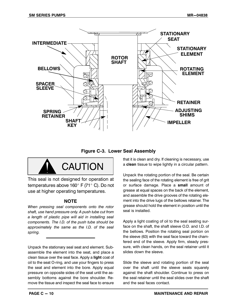

**Figure C‐3. Lower Seal Assembly**



This seal is not designed for operation at temperatures above 160 $\degree$  F (71 $\degree$  C). Do not use at higher operating temperatures.

#### **NOTE**

*When pressing seal components onto the rotor shaft, use hand pressure only. A push tube cut from a length of plastic pipe will aid in installing seal components. The I.D. of the push tube should be approximately the same as the I.D. of the seal spring.*

Unpack the stationary seal seat and element. Subassemble the element into the seat, and place a clean tissue over the seal face. Apply a **light** coat of oil to the seat O‐ring, and use your fingers to press the seat and element into the bore. Apply equal pressure on opposite sides of the seat until the assembly bottoms against the bore shoulder. Remove the tissue and inspect the seal face to ensure that it is clean and dry. If cleaning is necessary, use a **clean** tissue to wipe lightly in a circular pattern.

Unpack the rotating portion of the seal. Be certain the sealing face of the rotating element is free of grit or surface damage. Place a **small** amount of grease at equal spaces on the back of the element, and assemble the drive grooves of the rotating element into the drive lugs of the bellows retainer. The grease should hold the element in position until the seal is installed.

Apply a light coating of oil to the seal seating surface on the shaft, the shaft sleeve O.D. and I.D. of the bellows. Position the rotating seal portion on the sleeve (63) with the seal face toward the chamfered end of the sleeve. Apply firm, steady pressure, with clean hands, on the seal retainer until it slides down the sleeve.

Slide the sleeve and rotating portion of the seal over the shaft until the sleeve seats squarely against the shaft shoulder. Continue to press on the seal retainer until the seal slides over the shaft and the seal faces contact.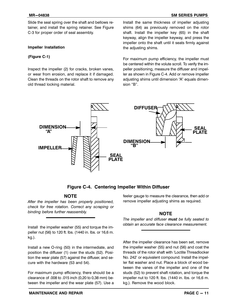Slide the seal spring over the shaft and bellows retainer, and install the spring retainer. See Figure C‐3 for proper order of seal assembly.

#### **Impeller Installation**

#### **(Figure C‐1)**

Inspect the impeller (2) for cracks, broken vanes, or wear from erosion, and replace it if damaged. Clean the threads on the rotor shaft to remove any old thread locking material.

Install the same thickness of impeller adjusting shims (64) as previously removed on the rotor shaft. Install the impeller key (65) in the shaft keyway, align the impeller keyway, and press the impeller onto the shaft until it seats firmly against the adjusting shims.

For maximum pump efficiency, the impeller must be centered within the volute scroll. To verify the impeller positioning, measure the diffuser and impeller as shown in Figure C‐4. Add or remove impeller adjusting shims until dimension "A" equals dimension "B".



#### **Figure C‐4. Centering Impeller Within Diffuser**

#### **NOTE**

*After the impeller has been properly positioned, check for free rotation. Correct any scraping or binding before further reassembly.*

Install the impeller washer (55) and torque the impeller nut (56) to 120 ft. lbs. (1440 in. lbs. or 16,6 m. kg.).

Install a new O‐ring (50) in the intermediate, and position the diffuser (1) over the studs (52). Position the wear plate (57) against the diffuser, and secure with the hardware (53 and 54).

For maximum pump efficiency, there should be a clearance of .008 to .015 inch (0,20 to 0,38 mm) between the impeller and the wear plate (57). Use a feeler gauge to measure the clearance, then add or remove impeller adjusting shims as required.

#### **NOTE**

*The impeller and diffuser must be fully seated to obtain an accurate face clearance measurement.*

After the impeller clearance has been set, remove the impeller washer (55) and nut (56) and coat the threads of the rotor shaft with `Loctite Threadlocker No. 242' or equivalent compound. Install the impeller flat washer and nut. Place a block of wood between the vanes of the impeller and one of the studs (52) to prevent shaft rotation, and torque the impeller nut to 120 ft. lbs. (1440 in. lbs. or 16,6 m. kg.). Remove the wood block.

#### **MR-04838 SM SERIES PUMPS**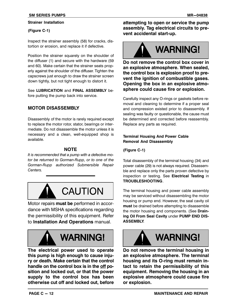#### **Strainer Installation**

#### **(Figure C‐1)**

Inspect the strainer assembly (58) for cracks, distortion or erosion, and replace it if defective.

Position the strainer squarely on the shoulder of the diffuser (1) and secure with the hardware (59 and 60). Make certain that the strainer seats properly against the shoulder of the diffuser. Tighten the capscrews just enough to draw the strainer screen down tightly, but not tight enough to distort it.

See **LUBRICATION** and **FINAL ASSEMBLY** before putting the pump back into service.

#### **MOTOR DISASSEMBLY**

Disassembly of the motor is rarely required except to replace the motor rotor, stator, bearings or intermediate. Do not disassemble the motor unless it is necessary and a clean, well-equipped shop is available.

#### **NOTE**

*It is recommended that a pump with a defective motor be returned to Gorman‐Rupp, or to one of the Gorman‐Rupp authorized Submersible Repair Centers.*



Motor repairs **must be** performed in accordance with MSHA specifications regarding the permissibility of this equipment. Refer to **Installation And Operations** manual.



## **WARNING!**

**The electrical power used to operate this pump is high enough to cause injury or death. Make certain that the control handle on the control box is in the off position and locked out, or that the power supply to the control box has been otherwise cut off and locked out, before**

**attempting to open or service the pump assembly. Tag electrical circuits to prevent accidental start‐up.**

# **WARNING!**

**Do not remove the control box cover in an explosive atmosphere. When sealed, the control box is explosion proof to prevent the ignition of combustible gases. Opening the box in an explosive atmosphere could cause fire or explosion.**

Carefully inspect any O‐rings or gaskets before removal and cleaning to determine if a proper seal and compression existed prior to disassembly. If sealing was faulty or questionable, the cause must be determined and corrected before reassembly. Replace any parts as required.

#### **Terminal Housing And Power Cable Removal And Disassembly**

#### **(Figure C‐1)**

Total disassembly of the terminal housing (34) and power cable (29) is not always required. Disassemble and replace only the parts proven defective by inspection or testing. See **Electrical Testing** in **TROUBLESHOOTING**.

The terminal housing and power cable assembly may be serviced without disassembling the motor housing or pump end. However, the seal cavity oil **must** be drained before attempting to disassemble the motor housing and components. (See **Draining Oil From Seal Cavity** under **PUMP END DIS-ASSEMBLY**.



**Do not remove the terminal housing in an explosive atmosphere. The terminal housing and its O‐ring must remain intact to retain the permissibility of this equipment. Removing the housing in an explosive atmosphere could cause fire or explosion.**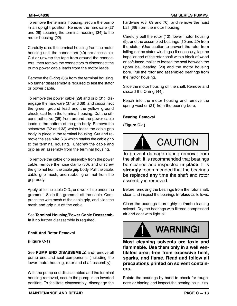Carefully raise the terminal housing from the motor housing until the connectors (40) are accessible. Cut or unwrap the tape from around the connectors, then remove the connectors to disconnect the pump power cable leads from the motor leads.

Remove the O‐ring (36) from the terminal housing. No further disassembly is required to test the stator or power cable.

To remove the power cable (29) and grip (31), disengage the hardware (37 and 38), and disconnect the green ground lead and the yellow ground check lead from the terminal housing. Cut the silicone adhesive (35) from around the power cable leads in the bottom of the grip body. Remove the setscrews (32 and 33) which locks the cable grip body in place in the terminal housing. Cut and remove the seal wire (73) which retains the cable grip to the terminal housing. Unscrew the cable and grip as an assembly from the terminal housing.

To remove the cable grip assembly from the power cable, remove the hose clamp (30), and unscrew the grip nut from the cable grip body. Pull the cable, cable grip mesh, and rubber grommet from the grip body.

Apply oil to the cable O.D., and work it up under the grommet. Slide the grommet off the cable. Compress the wire mesh of the cable grip, and slide the mesh and grip nut off the cable.

See **Terminal Housing/Power Cable Reassembly** if no further disassembly is required.

#### **Shaft And Rotor Removal**

**(Figure C‐1)**

See **PUMP END DISASSEMBLY**, and remove all pump end and seal components (including the lower motor housing, rotor and shaft assembly).

With the pump end disassembled and the terminal housing removed, secure the pump in an inverted position. To facilitate disassembly, disengage the hardware (68, 69 and 70), and remove the hoist bail (66) from the motor housing.

Carefully pull the rotor (12), lower motor housing (9), and the assembled bearings (10 and 20) from the stator. (Use caution to prevent the rotor from falling on the stator windings.) If necessary, tap the impeller end of the rotor shaft with a block of wood or soft‐faced mallet to loosen the seal between the upper ball bearing (20) and the motor housing bore. Pull the rotor and assembled bearings from the motor housing.

Slide the motor housing off the shaft. Remove and discard the O‐ring (44).

Reach into the motor housing and remove the spring washer (21) from the bearing bore.

#### **Bearing Removal**

**(Figure C‐1)**



To prevent damage during removal from the shaft, it is recommended that bearings be cleaned and inspected **in place**. It is **strongly** recommended that the bearings be replaced **any** time the shaft and rotor assembly is removed.

Before removing the bearings from the rotor shaft, clean and inspect the bearings **in place** as follows.

Clean the bearings thoroughly in **fresh** cleaning solvent. Dry the bearings with filtered compressed air and coat with light oil.



**Most cleaning solvents are toxic and flammable. Use them only in a well ventilated area; free from excessive heat, sparks, and flame. Read and follow all precautions printed on solvent containers.**

Rotate the bearings by hand to check for roughness or binding and inspect the bearing balls. If ro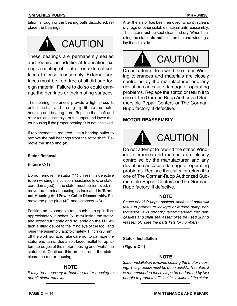tation is rough or the bearing balls discolored, replace the bearings.



These bearings are permanently sealed and require no additional lubrication except a coating of light oil on external surfaces to ease reassembly. External surfaces must be kept free of all dirt and foreign material. Failure to do so could damage the bearings or their mating surfaces.

The bearing tolerances provide a tight press fit onto the shaft and a snug slip fit into the motor housing and bearing bore. Replace the shaft and rotor (as an assembly), or the upper and lower motor housing if the proper bearing fit is not achieved.

If replacement is required, use a bearing puller to remove the ball bearings from the rotor shaft. Remove the snap ring (45).

#### **Stator Removal**

#### **(Figure C‐1)**

Do not remove the stator (11) unless it is defective (open windings, insulation resistance low, or stator core damaged). If the stator must be removed, remove the terminal housing as indicated in **Terminal Housing And Power Cable Disassembly.** Remove the pipe plug (42) and setscrew (43).

Position an expandable tool, such as a split disc, approximately 2 inches (51 mm) inside the stator, and expand it tightly and squarely on the I.D. Attach a lifting device to the lifting eye of the tool, and raise the assembly approximately 1 inch (25 mm) off the work surface. Take care not to damage the stator end turns. Use a soft‐faced mallet to rap alternate edges of the motor housing and "walk" the stator out. Continue this process until the stator clears the motor housing.

#### **NOTE**

*It may be necessary to heat the motor housing to permit stator removal.*

After the stator has been removed, wrap it in clean, dry rags or other suitable material until reassembly. The stator **must** be kept clean and dry. When handling the stator, **do not** set it on the end windings; lay it on its side.



Do not attempt to rewind the stator. Winding tolerances and materials are closely controlled by the manufacturer, and any deviation can cause damage or operating problems. Replace the stator, or return it to one of The Gorman‐Rupp Authorized Submersible Repair Centers or The Gorman‐ Rupp factory, if defective.

#### **MOTOR REASSEMBLY**



**CAUTION** 

Do not attempt to rewind the stator. Winding tolerances and materials are closely controlled by the manufacturer, and any deviation can cause damage or operating problems. Replace the stator, or return it to one of The Gorman‐Rupp Authorized Submersible Repair Centers or The Gorman‐ Rupp factory, if defective.

#### **NOTE**

*Reuse of old O‐rings, gaskets, shaft seal parts will result in premature leakage or reduce pump performance. It is strongly recommended that new gaskets and shaft seal assemblies be used during reassembly (see the parts lists for numbers).*

#### **Stator Installation**

**(Figure C‐1)**

#### **NOTE**

*Stator installation involves heating the motor housing. This process must be done quickly. Therefore it is recommended these steps be performed by two people to promote efficient installation of the stator.*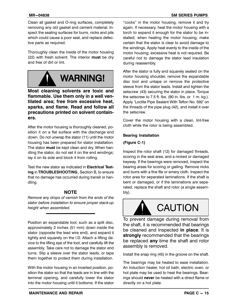Clean all gasket and O‐ring surfaces, completely removing any old gasket and cement material. Inspect the sealing surfaces for burrs, nicks and pits which could cause a poor seal, and replace defective parts as required.

Thoroughly clean the inside of the motor housing (22) with fresh solvent. The interior **must** be dry and free of dirt or lint.



**Most cleaning solvents are toxic and flammable. Use them only in a well ventilated area; free from excessive heat, sparks, and flame. Read and follow all precautions printed on solvent containers.**

After the motor housing is thoroughly cleaned, position it on a flat surface with the discharge end down. Do not unwrap the stator (11) until the motor housing has been prepared for stator installation. The stator **must** be kept clean and dry. When handling the stator, do not set it on the end windings; lay it on its side and block it from rolling.

Test the new stator as indicated in **Electrical Testing** in **TROUBLESHOOTING**, Section B, to ensure that no damage has occurred during transit or handling.

#### **NOTE**

*Remove any drops of varnish from the ends of the stator before installation to ensure proper stack‐up height when assembled.*

Position an expandable tool, such as a split disc, approximately 2 inches (51 mm) down inside the stator (opposite the lead wire end), and expand it tightly and squarely on the I.D. Attach a lifting device to the lifting eye of the tool, and carefully lift the assembly. Take care not to damage the stator end turns. Slip a sleeve over the stator leads, or tape them together to protect them during installation.

With the motor housing in an inverted position, position the stator so that the leads are in line with the terminal opening, and carefully lower the stator into the motor housing until it bottoms. If the stator

"cocks" in the motor housing, remove it and try again. If necessary, heat the motor housing with a torch to expand it enough for the stator to be installed; when heating the motor housing, make certain that the stator is clear to avoid damage to the windings. Apply heat evenly to the inside of the motor housing; excessive heat is not required. Be careful not to damage the stator lead insulation during reassembly.

After the stator is fully and squarely seated on the motor housing shoulder, remove the expandable disc tool and untape or remove the protective sleeve from the stator leads. Install and tighten the setscrew (43) securing the stator in place. Torque the setscrew to 7.5 ft. lbs. (90 in. lbs. or 1 m. kg.). Apply `Loctite Pipe Sealant With Teflon No. 592' on the threads of the pipe plug (42), and install it over the setscrew.

Cover the motor housing with a clean, lint‐free cloth while the rotor is being assembled.

#### **Bearing Installation**

#### **(Figure C‐1)**

Inspect the rotor shaft (12) for damaged threads, scoring in the seal area, and a nicked or damaged keyway. If the bearings were removed, inspect the bearing areas for scoring or galling. Remove nicks and burrs with a fine file or emery cloth. Inspect the rotor area for separated laminations. If the shaft is bent or damaged, or if the laminations are separated, replace the shaft and rotor (a single assembly).



To prevent damage during removal from the shaft, it is recommended that bearings be cleaned and inspected **in place**. It is **strongly** recommended that the bearings be replaced **any** time the shaft and rotor assembly is removed.

Install the snap ring (45) in the groove on the shaft.

The bearings may be heated to ease installation. An induction heater, hot oil bath, electric oven, or hot plate may be used to heat the bearings. Bearings should **never** be heated with a direct flame or directly on a hot plate.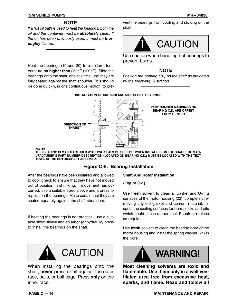#### **SM SERIES PUMPS** MR-04838

#### **NOTE**

*If a hot oil bath is used to heat the bearings, both the oil and the container must be absolutely clean. If the oil has been previously used, it must be thoroughly filtered.*

Heat the bearings (10 and 20) to a uniform temperature **no higher than** 250°F (120°C). Slide the bearings onto the shaft, one at a time, until they are fully seated against the shaft shoulder. This should be done quickly, in one continuous motion, to pre-

vent the bearings from cooling and sticking on the shaft.



Use caution when handling hot bearings to prevent burns.

#### **NOTE**

*Position the bearing (10) on the shaft as indicated by the following illustration.*



**NOTE:**

**THIS BEARING IS MANUFACTURED WITH TWO SEALS OR SHIELDS. WHEN INSTALLED ON THE SHAFT, THE MAN-UFACTURER'S PART NUMBER DESCRIPTION (LOCATED ON BEARING O.D.) MUST BE LOCATED WITH THE TEXT TOWARD THE ROTOR/SHAFT ASSEMBLY.**

#### **Figure C‐5. Bearing Installation**

After the bearings have been installed and allowed to cool, check to ensure that they have not moved out of position in shrinking. If movement has occurred, use a suitable sized sleeve and a press to reposition the bearings. Make certain that they are seated squarely against the shaft shoulders.

If heating the bearings is not practical, use a suitable sized sleeve and an arbor (or hydraulic) press to install the bearings on the shaft.



When installing the bearings onto the shaft, **never** press or hit against the outer race, balls, or ball cage. Press **only** on the inner race.

#### **Shaft And Rotor Installation**

**(Figure C‐1)**

Use **fresh** solvent to clean all gasket and O‐ring surfaces of the motor housing (22), completely removing any old gasket and cement material. Inspect the sealing surfaces for burrs, nicks and pits which could cause a poor seal. Repair or replace as require.

Use **fresh** solvent to clean the bearing bore of the motor housing and install the spring washer (21) in the bore.



**Most cleaning solvents are toxic and flammable. Use them only in a well ventilated area free from excessive heat, sparks, and flame. Read and follow all**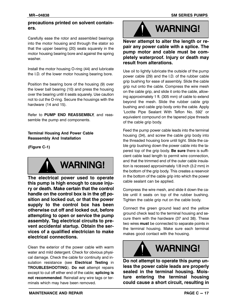#### **precautions printed on solvent containers.**

Carefully ease the rotor and assembled bearings into the motor housing and through the stator so that the upper bearing (20) seats squarely in the motor housing bearing bore and against the spring washer

Install the motor housing O‐ring (44) and lubricate the I.D. of the lower motor housing bearing bore.

Position the bearing bore of the housing (9) over the lower ball bearing (10) and press the housing over the bearing until it seats squarely. Use caution not to cut the O‐ring. Secure the housings with the hardware (14 and 15).

Refer to **PUMP END REASSEMBLY**, and reassemble the pump end components.

#### **Terminal Housing And Power Cable Reassembly And Installation**

**(Figure C‐1)**



**The electrical power used to operate this pump is high enough to cause injury or death. Make certain that the control handle on the control box is in the off position and locked out, or that the power supply to the control box has been otherwise cut off and locked out, before attempting to open or service the pump assembly. Tag electrical circuits to prevent accidental startup. Obtain the services of a qualified electrician to make electrical connections.**

Clean the exterior of the power cable with warm water and mild detergent. Check for obvious physical damage. Check the cable for continuity and insulation resistance (see **Electrical Testing** in **TROUBLESHOOTING**). **Do not** attempt repairs except to cut off either end of the cable; **splicing is not recommended**. Reinstall any wire tags or terminals which may have been removed.



**Never attempt to alter the length or repair any power cable with a splice. The pump motor and cable must be completely waterproof. Injury or death may result from alterations.**

Use oil to lightly lubricate the outside of the pump power cable (29) and the I.D. of the rubber cable grip bushing for ease of assembly. Slide the cable grip nut onto the cable. Compress the wire mesh on the cable grip, and slide it onto the cable, allowing approximately 1 ft. (305 mm) of cable to extend beyond the mesh. Slide the rubber cable grip bushing and cable grip body onto the cable. Apply 'Loctite Pipe Sealant With Teflon No. 592' or equivalent compound on the tapered pipe threads of the cable grip body.

Feed the pump power cable leads into the terminal housing (34), and screw the cable grip body into the threaded housing bore until tight. Slide the cable grip bushing down the power cable into the tapered top of the grip body. **Be sure** there is sufficient cable lead length to permit wire connection, and that the trimmed end of the outer cable insulation is recessed approximately 1/8 inch (3.2 mm) in the bottom of the grip body. This creates a reservoir in the bottom of the cable grip into which the power cable sealant can be applied.

Compress the wire mesh, and slide it down the cable until it seats on top of the rubber bushing. Tighten the cable grip nut on the cable body.

Connect the green ground lead and the yellow ground check lead to the terminal housing and secure them with the hardware (37 and 38). These two wires **must** be connected to separate points in the terminal housing. Make sure each terminal makes good contact with the housing.



**Do not attempt to operate this pump unless the power cable leads are properly sealed in the terminal housing. Moisture entering the terminal housing could cause a short circuit, resulting in**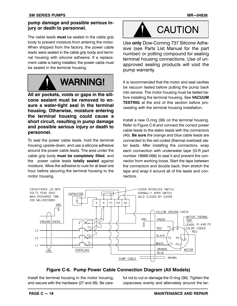#### **pump damage and possible serious injury or death to personnel.**

The cable leads **must** be sealed in the cable grip body to prevent moisture from entering the motor. When shipped from the factory, the power cable leads were sealed in the cable grip body and terminal housing with silicone adhesive. If a replacement cable is being installed, the power cable must be sealed in the terminal housing.



**All air pockets, voids or gaps in the silicone sealant must be removed to ensure a water‐tight seal in the terminal housing. Otherwise, moisture entering the terminal housing could cause a short circuit, resulting in pump damage and possible serious injury or death to personnel.**

To seal the power cable leads, hold the terminal housing upside‐down, and use a silicone adhesive around the power cable leads. The area under the cable grip body **must be completely filled**, and the power cable leads **totally sealed** against moisture. Allow the adhesive to cure for at least one hour before securing the terminal housing to the motor housing.



Use **only** Dow‐Corning 737 Silicone Adhesive (see Parts List Manual for the part number) or potting compound for sealing terminal housing connections. Use of unapproved sealing products will void the pump warranty.

It is recommended that the motor and seal cavities be vacuum tested before putting the pump back into service. The motor housing must be tested before installing the terminal housing. See **VACUUM TESTING** at the end of this section before proceeding with the terminal housing installation.

Install a new O‐ring (36) on the terminal housing. Refer to Figure C‐6 and connect the correct power cable leads to the stator leads with the connectors (40). **Be sure** the orange and blue cable leads are connected to the red coded (thermal overload) stator leads. After installing the connectors, wrap each connection with underwater tape (G‐R part number 18666‐068) to seal it and prevent the connector from working loose. Start the tape between the connectors and double back, then stretch the tape and wrap it around all of the leads and connectors.



#### **Figure C‐6. Pump Power Cable Connection Diagram (All Models)**

Install the terminal housing in the motor housing, and secure with the hardware (27 and 28). Be careful not to cut or damage the O-ring (36). Tighten the capscrews evenly and alternately around the ter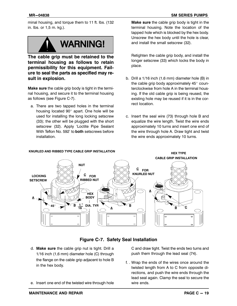minal housing, and torque them to 11 ft. lbs. (132 in. lbs. or 1,5 m. kg.).



**The cable grip must be retained to the terminal housing as follows to retain permissibility for this equipment. Failure to seal the parts as specified may result in explosion.**

**Make sure** the cable grip body is tight in the terminal housing, and secure it to the terminal housing as follows (see Figure C‐7).

a. There are two tapped holes in the terminal housing located  $90^\circ$  apart. One hole will be used for installing the long locking setscrew (33); the other will be plugged with the short setscrew (32). Apply 'Loctite Pipe Sealant With Teflon No. 592' to **both** setscrews before installation.

**Make sure** the cable grip body is tight in the terminal housing. Note the location of the tapped hole which is blocked by the hex body. Unscrew the hex body until the hole is clear, and install the small setscrew (32).

Retighten the cable grip body, and install the longer setscrew (33) which locks the body in place.

- b. Drill a 1/16 inch (1,6 mm) diameter hole (B) in the cable grip body approximately  $45^\circ$  counterclockwise from hole A in the terminal housing. If the old cable grip is being reused, the existing hole may be reused if it is in the correct location.
- c. Insert the seal wire (73) through hole B and equalize the wire length. Twist the wire ends approximately 10 turns and insert one end of the wire through hole A. Draw tight and twist the wire ends approximately 10 turns.



**KNURLED AND RIBBED TYPE CABLE GRIP INSTALLATION HEX TYPE**

#### **Figure C‐7. Safety Seal Installation**

- d. **Make sure** the cable grip nut is tight. Drill a 1/16 inch (1,6 mm) diameter hole (C) through the flange on the cable grip adjacent to hole B in the hex body.
- e. Insert one end of the twisted wire through hole

C and draw tight. Twist the ends two turns and push them through the lead seal (74).

f. . Wrap the ends of the wires once around the twisted length from A to C from opposite directions, and push the wire ends through the lead seal again. Clamp the seal to secure the wire ends.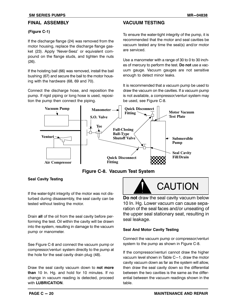#### **FINAL ASSEMBLY**

#### **(Figure C‐1)**

If the discharge flange (24) was removed from the motor housing, replace the discharge flange gasket (23). Apply 'Never-Seez' or equivalent compound on the flange studs, and tighten the nuts (26).

If the hoisting bail (66) was removed, install the bail bushing (67) and secure the bail to the motor housing with the hardware (68, 69 and 70).

Connect the discharge hose, and reposition the pump. If rigid piping or long hose is used, reposition the pump then connect the piping.

#### **VACUUM TESTING**

To ensure the water‐tight integrity of the pump, it is recommended that the motor and seal cavities be vacuum tested any time the seal(s) and/or motor are serviced.

Use a manometer with a range of 30 to 0 to 30 inches of mercury to perform the test. **Do not** use a vacuum gauge. Vacuum gauges are not sensitive enough to detect minor leaks.

It is recommended that a vacuum pump be used to draw the vacuum on the cavities. If a vacuum pump is not available, a compressor/venturi system may be used, see Figure C‐8.



**Figure C‐8. Vacuum Test System**

#### **Seal Cavity Testing**

If the water-tight integrity of the motor was not disturbed during disassembly, the seal cavity can be tested without testing the motor.

Drain **all** of the oil from the seal cavity before performing the test. Oil within the cavity will be drawn into the system, resulting in damage to the vacuum pump or manometer.

See Figure C‐8 and connect the vacuum pump or compressor/venturi system directly to the pump at the hole for the seal cavity drain plug (48).

Draw the seal cavity vacuum down to **not more than** 10 In. Hg. and hold for 10 minutes. If no change in vacuum reading is detected, proceed with **LUBRICATION**.

**Do not** draw the seal cavity vacuum below 10 In. Hg. Lower vacuum can cause separation of the seal faces and/or unseating of the upper seal stationary seat, resulting in seal leakage.

#### **Seal And Motor Cavity Testing**

Connect the vacuum pump or compressor/venturi system to the pump as shown in Figure C‐8.

If the compressor/venturi cannot draw the higher vacuum level shown in Table  $C-1$ , draw the motor cavity vacuum down as far as the system will allow, then draw the seal cavity down so the differential between the two cavities is the same as the differential between the vacuum readings shown in the table.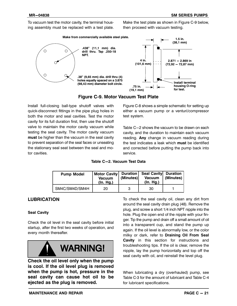To vacuum test the motor cavity, the terminal housing assembly must be replaced with a test plate.

Make the test plate as shown in Figure C‐9 below, then proceed with vacuum testing.



**Figure C‐9. Motor Vacuum Test Plate**

Install full‐closing ball‐type shutoff valves with quick‐disconnect fittings in the pipe plug holes in both the motor and seal cavities. Test the motor cavity for its full duration first, then use the shutoff valve to maintain the motor cavity vacuum while testing the seal cavity. The motor cavity vacuum **must** be higher than the vacuum in the seal cavity to prevent separation of the seal faces or unseating the stationary seal seat between the seal and motor cavities.

Figure C‐8 shows a simple schematic for setting up either a vacuum pump or a venturi/compressor test system.

Table C-2 shows the vacuum to be drawn on each cavity, and the duration to maintain each vacuum reading. **Any** change in vacuum reading during the test indicates a leak which **must** be identified and corrected before putting the pump back into service.

**Table C-2. Vacuum Test Data**

| <b>Pump Model</b> | Motor Cavity<br><b>Vacuum</b><br>(In. Hg.) | Duration<br>(Minutes) | Seal Cavity Duration<br><b>Vacuum</b><br>(In. Hg.) | (Minutes) |
|-------------------|--------------------------------------------|-----------------------|----------------------------------------------------|-----------|
| SM4C/SM4D/SM4H    | 20                                         |                       | 30                                                 |           |

#### **LUBRICATION**

#### **Seal Cavity**

Check the oil level in the seal cavity before initial startup, after the first two weeks of operation, and every month thereafter.



**Check the oil level only when the pump is cool. If the oil level plug is removed when the pump is hot, pressure in the seal cavity can cause hot oil to be ejected as the plug is removed.**

To check the seal cavity oil, clean any dirt from around the seal cavity drain plug (48). Remove the plug, and screw a short 1/4 inch NPT nipple into the hole. Plug the open end of the nipple with your finger. Tip the pump and drain off a small amount of oil into a transparent cup, and stand the pump up again. If the oil level is abnormally low, or the color milky or dark, refer to **Draining Oil From Seal Cavity** in this section for instructions and troubleshooting tips. If the oil is clear, remove the nipple, lay the pump horizontally and top off the seal cavity with oil, and reinstall the level plug.

When lubricating a dry (overhauled) pump, see Table C‐3 for the amount of lubricant and Table C‐4 for lubricant specifications.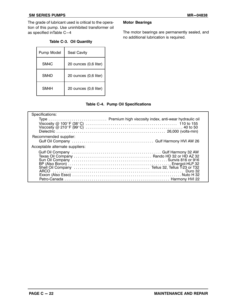#### **SM SERIES PUMPS** MR-04838

The grade of lubricant used is critical to the operation of this pump. Use uninhibited transformer oil as specified inTable C-4

#### **Table C‐3. Oil Quantity**

| Pump Model | Seal Cavity           |
|------------|-----------------------|
| SM4C       | 20 ounces (0,6 liter) |
| SM4D       | 20 ounces (0,6 liter) |
| SM4H       | 20 ounces (0,6 liter) |

#### **Motor Bearings**

The motor bearings are permanently sealed, and no additional lubrication is required.

#### **Table C‐4. Pump Oil Specifications**

| Specifications:                 |  |
|---------------------------------|--|
|                                 |  |
|                                 |  |
|                                 |  |
|                                 |  |
| Recommended supplier:           |  |
|                                 |  |
| Acceptable alternate suppliers: |  |
|                                 |  |
|                                 |  |
|                                 |  |
|                                 |  |
|                                 |  |
|                                 |  |
|                                 |  |